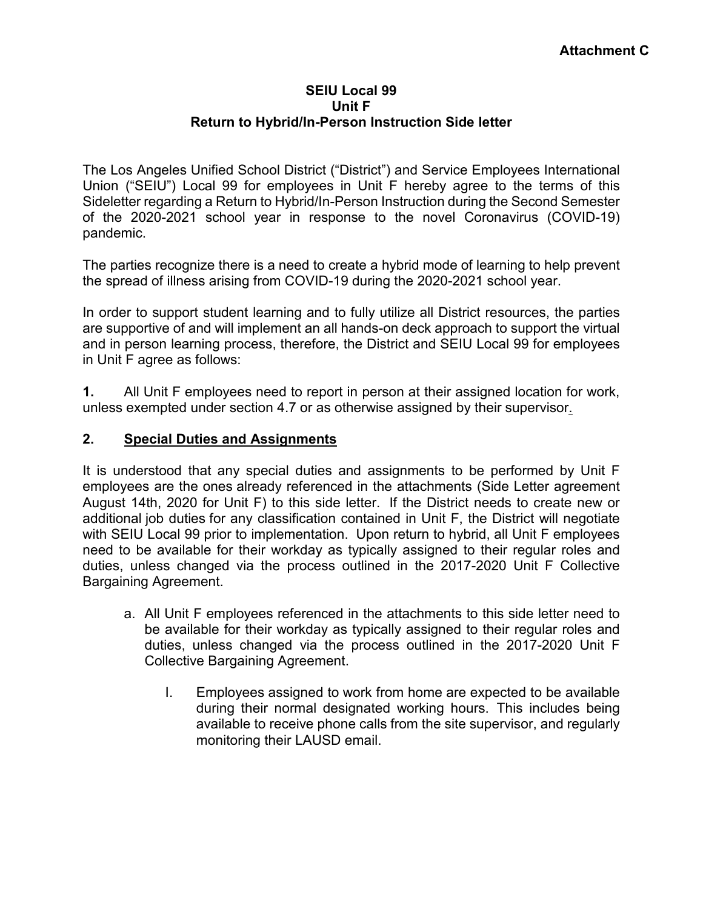## **SEIU Local 99 Unit F Return to Hybrid/In-Person Instruction Side letter**

The Los Angeles Unified School District ("District") and Service Employees International Union ("SEIU") Local 99 for employees in Unit F hereby agree to the terms of this Sideletter regarding a Return to Hybrid/In-Person Instruction during the Second Semester of the 2020-2021 school year in response to the novel Coronavirus (COVID-19) pandemic.

The parties recognize there is a need to create a hybrid mode of learning to help prevent the spread of illness arising from COVID-19 during the 2020-2021 school year.

In order to support student learning and to fully utilize all District resources, the parties are supportive of and will implement an all hands-on deck approach to support the virtual and in person learning process, therefore, the District and SEIU Local 99 for employees in Unit F agree as follows:

**1.** All Unit F employees need to report in person at their assigned location for work, unless exempted under section 4.7 or as otherwise assigned by their supervisor.

## **2. Special Duties and Assignments**

It is understood that any special duties and assignments to be performed by Unit F employees are the ones already referenced in the attachments (Side Letter agreement August 14th, 2020 for Unit F) to this side letter. If the District needs to create new or additional job duties for any classification contained in Unit F, the District will negotiate with SEIU Local 99 prior to implementation. Upon return to hybrid, all Unit F employees need to be available for their workday as typically assigned to their regular roles and duties, unless changed via the process outlined in the 2017-2020 Unit F Collective Bargaining Agreement.

- a. All Unit F employees referenced in the attachments to this side letter need to be available for their workday as typically assigned to their regular roles and duties, unless changed via the process outlined in the 2017-2020 Unit F Collective Bargaining Agreement.
	- I. Employees assigned to work from home are expected to be available during their normal designated working hours. This includes being available to receive phone calls from the site supervisor, and regularly monitoring their LAUSD email.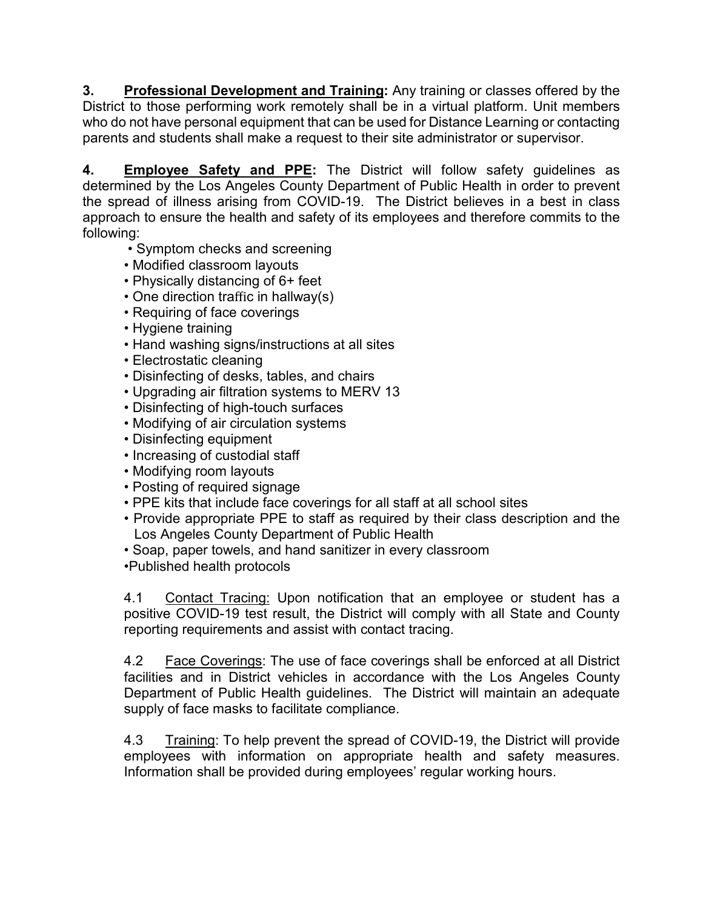**3. Professional Development and Training:** Any training or classes offered by the District to those performing work remotely shall be in a virtual platform. Unit members who do not have personal equipment that can be used for Distance Learning or contacting parents and students shall make a request to their site administrator or supervisor.

**4. Employee Safety and PPE:** The District will follow safety guidelines as determined by the Los Angeles County Department of Public Health in order to prevent the spread of illness arising from COVID-19. The District believes in a best in class approach to ensure the health and safety of its employees and therefore commits to the following:

- Symptom checks and screening
- Modified classroom layouts
- Physically distancing of 6+ feet
- One direction traffic in hallway(s)
- Requiring of face coverings
- Hygiene training
- Hand washing signs/instructions at all sites
- Electrostatic cleaning
- Disinfecting of desks, tables, and chairs
- Upgrading air filtration systems to MERV 13
- Disinfecting of high-touch surfaces
- Modifying of air circulation systems
- Disinfecting equipment
- Increasing of custodial staff
- Modifying room layouts
- Posting of required signage
- PPE kits that include face coverings for all staff at all school sites
- Provide appropriate PPE to staff as required by their class description and the Los Angeles County Department of Public Health
- Soap, paper towels, and hand sanitizer in every classroom
- •Published health protocols

4.1 Contact Tracing: Upon notification that an employee or student has a positive COVID-19 test result, the District will comply with all State and County reporting requirements and assist with contact tracing.

4.2 Face Coverings: The use of face coverings shall be enforced at all District facilities and in District vehicles in accordance with the Los Angeles County Department of Public Health guidelines. The District will maintain an adequate supply of face masks to facilitate compliance.

4.3 Training: To help prevent the spread of COVID-19, the District will provide employees with information on appropriate health and safety measures. Information shall be provided during employees' regular working hours.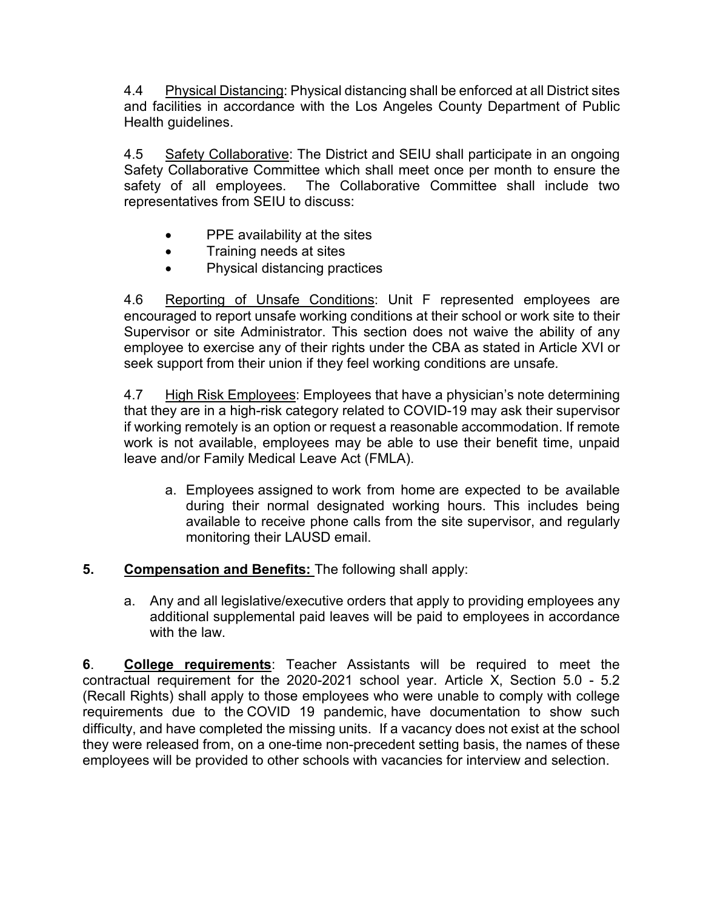4.4 Physical Distancing: Physical distancing shall be enforced at all District sites and facilities in accordance with the Los Angeles County Department of Public Health guidelines.

4.5 Safety Collaborative: The District and SEIU shall participate in an ongoing Safety Collaborative Committee which shall meet once per month to ensure the safety of all employees. The Collaborative Committee shall include two representatives from SEIU to discuss:

- PPE availability at the sites
- Training needs at sites
- Physical distancing practices

4.6 Reporting of Unsafe Conditions: Unit F represented employees are encouraged to report unsafe working conditions at their school or work site to their Supervisor or site Administrator. This section does not waive the ability of any employee to exercise any of their rights under the CBA as stated in Article XVI or seek support from their union if they feel working conditions are unsafe*.*

4.7 High Risk Employees: Employees that have a physician's note determining that they are in a high-risk category related to COVID-19 may ask their supervisor if working remotely is an option or request a reasonable accommodation. If remote work is not available, employees may be able to use their benefit time, unpaid leave and/or Family Medical Leave Act (FMLA).

- a. Employees assigned to work from home are expected to be available during their normal designated working hours. This includes being available to receive phone calls from the site supervisor, and regularly monitoring their LAUSD email.
- **5. Compensation and Benefits:** The following shall apply:
	- a. Any and all legislative/executive orders that apply to providing employees any additional supplemental paid leaves will be paid to employees in accordance with the law.

**6**. **College requirements**: Teacher Assistants will be required to meet the contractual requirement for the 2020-2021 school year. Article X, Section 5.0 - 5.2 (Recall Rights) shall apply to those employees who were unable to comply with college requirements due to the COVID 19 pandemic, have documentation to show such difficulty, and have completed the missing units. If a vacancy does not exist at the school they were released from, on a one-time non-precedent setting basis, the names of these employees will be provided to other schools with vacancies for interview and selection.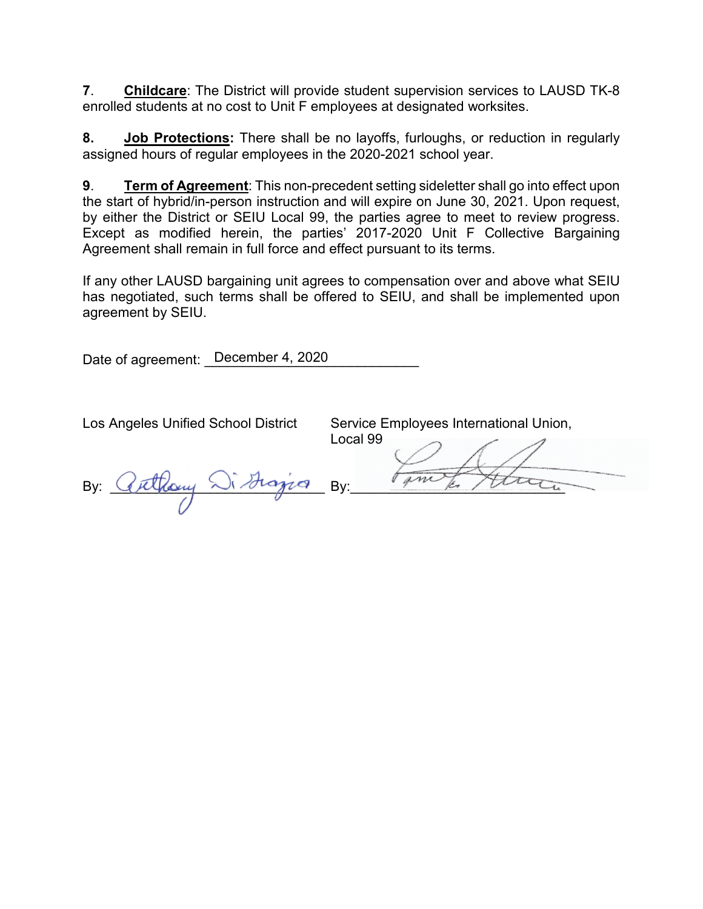**7**. **Childcare**: The District will provide student supervision services to LAUSD TK-8 enrolled students at no cost to Unit F employees at designated worksites.

**8. Job Protections:** There shall be no layoffs, furloughs, or reduction in regularly assigned hours of regular employees in the 2020-2021 school year.

**9**. **Term of Agreement**: This non-precedent setting sideletter shall go into effect upon the start of hybrid/in-person instruction and will expire on June 30, 2021. Upon request, by either the District or SEIU Local 99, the parties agree to meet to review progress. Except as modified herein, the parties' 2017-2020 Unit F Collective Bargaining Agreement shall remain in full force and effect pursuant to its terms.

If any other LAUSD bargaining unit agrees to compensation over and above what SEIU has negotiated, such terms shall be offered to SEIU, and shall be implemented upon agreement by SEIU.

Date of agreement: \_December 4, 2020\_\_\_\_\_\_\_\_\_\_\_\_

Los Angeles Unified School District Service Employees International Union,

By: Cuthany Sistingia By:

Local 99